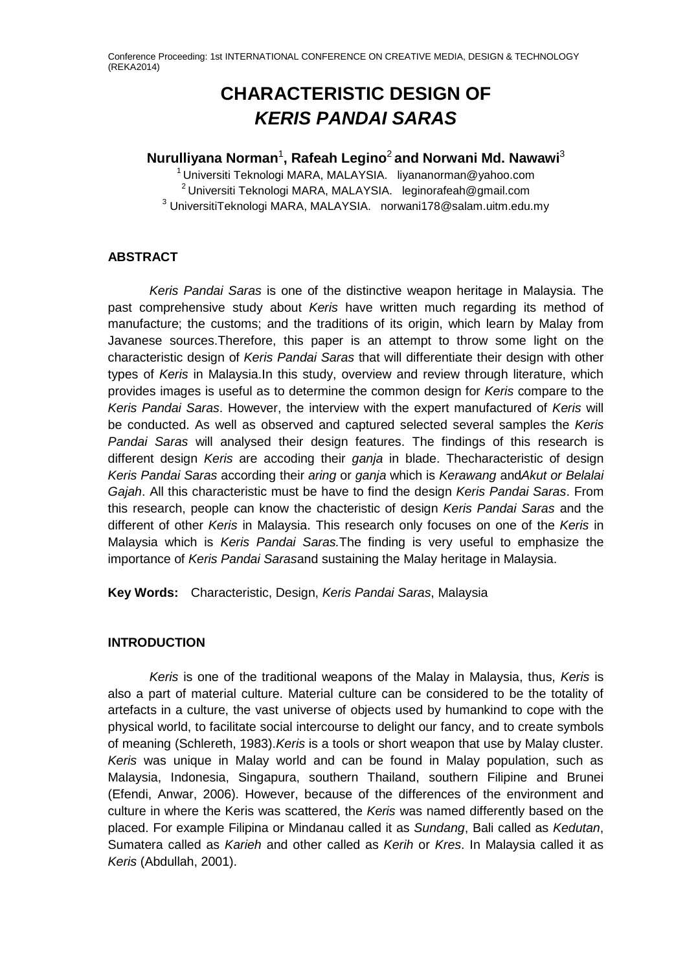# **CHARACTERISTIC DESIGN OF**  *KERIS PANDAI SARAS*

# **Nurulliyana Norman**<sup>1</sup> **, Rafeah Legino**<sup>2</sup> **and Norwani Md. Nawawi**<sup>3</sup>

1 Universiti Teknologi MARA, MALAYSIA. liyananorman@yahoo.com  $2$  Universiti Teknologi MARA, MALAYSIA. leginorafeah@gmail.com <sup>3</sup> UniversitiTeknologi MARA, MALAYSIA. [norwani178@salam.uitm.edu.my](mailto:)

## **ABSTRACT**

*Keris Pandai Saras* is one of the distinctive weapon heritage in Malaysia. The past comprehensive study about *Keris* have written much regarding its method of manufacture; the customs; and the traditions of its origin, which learn by Malay from Javanese sources.Therefore, this paper is an attempt to throw some light on the characteristic design of *Keris Pandai Saras* that will differentiate their design with other types of *Keris* in Malaysia.In this study, overview and review through literature, which provides images is useful as to determine the common design for *Keris* compare to the *Keris Pandai Saras*. However, the interview with the expert manufactured of *Keris* will be conducted. As well as observed and captured selected several samples the *Keris Pandai Saras* will analysed their design features. The findings of this research is different design *Keris* are accoding their *ganja* in blade. Thecharacteristic of design *Keris Pandai Saras* according their *aring* or *ganja* which is *Kerawang* and*Akut or Belalai Gajah*. All this characteristic must be have to find the design *Keris Pandai Saras*. From this research, people can know the chacteristic of design *Keris Pandai Saras* and the different of other *Keris* in Malaysia. This research only focuses on one of the *Keris* in Malaysia which is *Keris Pandai Saras.*The finding is very useful to emphasize the importance of *Keris Pandai Saras*and sustaining the Malay heritage in Malaysia.

**Key Words:** Characteristic, Design, *Keris Pandai Saras*, Malaysia

# **INTRODUCTION**

*Keris* is one of the traditional weapons of the Malay in Malaysia, thus, *Keris* is also a part of material culture. Material culture can be considered to be the totality of artefacts in a culture, the vast universe of objects used by humankind to cope with the physical world, to facilitate social intercourse to delight our fancy, and to create symbols of meaning (Schlereth, 1983).*Keris* is a tools or short weapon that use by Malay cluster. *Keris* was unique in Malay world and can be found in Malay population, such as Malaysia, Indonesia, Singapura, southern Thailand, southern Filipine and Brunei (Efendi, Anwar, 2006). However, because of the differences of the environment and culture in where the Keris was scattered, the *Keris* was named differently based on the placed. For example Filipina or Mindanau called it as *Sundang*, Bali called as *Kedutan*, Sumatera called as *Karieh* and other called as *Kerih* or *Kres*. In Malaysia called it as *Keris* (Abdullah, 2001).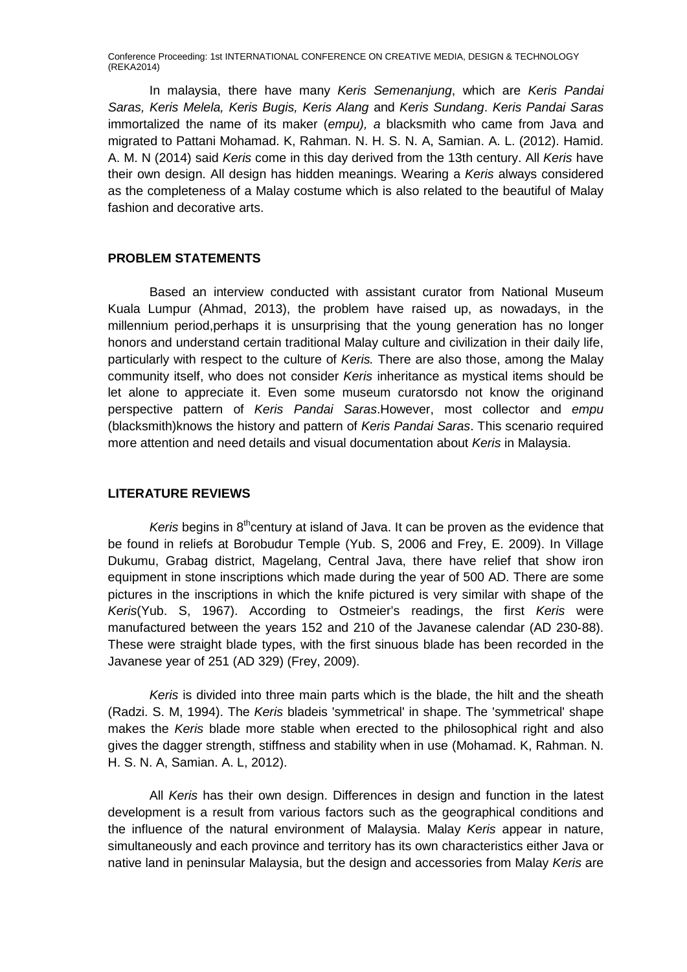In malaysia, there have many *Keris Semenanjung*, which are *Keris Pandai Saras, Keris Melela, Keris Bugis, Keris Alang* and *Keris Sundang*. *Keris Pandai Saras* immortalized the name of its maker (*empu), a* blacksmith who came from Java and migrated to Pattani Mohamad. K, Rahman. N. H. S. N. A, Samian. A. L. (2012). Hamid. A. M. N (2014) said *Keris* come in this day derived from the 13th century. All *Keris* have their own design. All design has hidden meanings. Wearing a *Keris* always considered as the completeness of a Malay costume which is also related to the beautiful of Malay fashion and decorative arts.

#### **PROBLEM STATEMENTS**

Based an interview conducted with assistant curator from National Museum Kuala Lumpur (Ahmad, 2013), the problem have raised up, as nowadays, in the millennium period,perhaps it is unsurprising that the young generation has no longer honors and understand certain traditional Malay culture and civilization in their daily life, particularly with respect to the culture of *Keris.* There are also those, among the Malay community itself, who does not consider *Keris* inheritance as mystical items should be let alone to appreciate it. Even some museum curatorsdo not know the originand perspective pattern of *Keris Pandai Saras*.However, most collector and *empu*  (blacksmith)knows the history and pattern of *Keris Pandai Saras*. This scenario required more attention and need details and visual documentation about *Keris* in Malaysia.

#### **LITERATURE REVIEWS**

Keris begins in 8<sup>th</sup>century at island of Java. It can be proven as the evidence that be found in reliefs at Borobudur Temple (Yub. S, 2006 and Frey, E. 2009). In Village Dukumu, Grabag district, Magelang, Central Java, there have relief that show iron equipment in stone inscriptions which made during the year of 500 AD. There are some pictures in the inscriptions in which the knife pictured is very similar with shape of the *Keris*(Yub. S, 1967). According to Ostmeier's readings, the first *Keris* were manufactured between the years 152 and 210 of the Javanese calendar (AD 230-88). These were straight blade types, with the first sinuous blade has been recorded in the Javanese year of 251 (AD 329) (Frey, 2009).

*Keris* is divided into three main parts which is the blade, the hilt and the sheath (Radzi. S. M, 1994). The *Keris* bladeis 'symmetrical' in shape. The 'symmetrical' shape makes the *Keris* blade more stable when erected to the philosophical right and also gives the dagger strength, stiffness and stability when in use (Mohamad. K, Rahman. N. H. S. N. A, Samian. A. L, 2012).

All *Keris* has their own design. Differences in design and function in the latest development is a result from various factors such as the geographical conditions and the influence of the natural environment of Malaysia. Malay *Keris* appear in nature, simultaneously and each province and territory has its own characteristics either Java or native land in peninsular Malaysia, but the design and accessories from Malay *Keris* are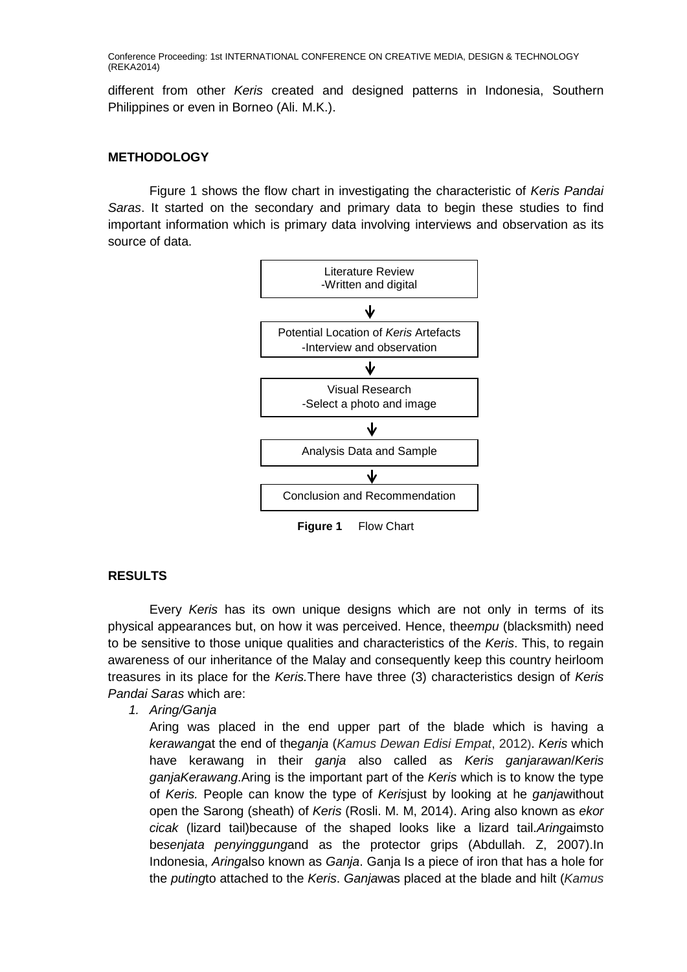different from other *Keris* created and designed patterns in Indonesia, Southern Philippines or even in Borneo (Ali. M.K.).

## **METHODOLOGY**

Figure 1 shows the flow chart in investigating the characteristic of *Keris Pandai Saras*. It started on the secondary and primary data to begin these studies to find important information which is primary data involving interviews and observation as its source of data.



**Figure 1** Flow Chart

#### **RESULTS**

Every *Keris* has its own unique designs which are not only in terms of its physical appearances but, on how it was perceived. Hence, the*empu* (blacksmith) need to be sensitive to those unique qualities and characteristics of the *Keris*. This, to regain awareness of our inheritance of the Malay and consequently keep this country heirloom treasures in its place for the *Keris.*There have three (3) characteristics design of *Keris Pandai Saras* which are:

*1. Aring/Ganja*

Aring was placed in the end upper part of the blade which is having a *kerawang*at the end of the*ganja* (*Kamus Dewan Edisi Empat*, 2012). *Keris* which have kerawang in their *ganja* also called as *Keris ganjarawan*/*Keris ganjaKerawang*.Aring is the important part of the *Keris* which is to know the type of *Keris.* People can know the type of *Keris*just by looking at he *ganja*without open the Sarong (sheath) of *Keris* (Rosli. M. M, 2014). Aring also known as *ekor cicak* (lizard tail)because of the shaped looks like a lizard tail.*Aring*aimsto be*senjata penyinggung*and as the protector grips (Abdullah. Z, 2007).In Indonesia, *Aring*also known as *Ganja*. Ganja Is a piece of iron that has a hole for the *puting*to attached to the *Keris*. *Ganja*was placed at the blade and hilt (*Kamus*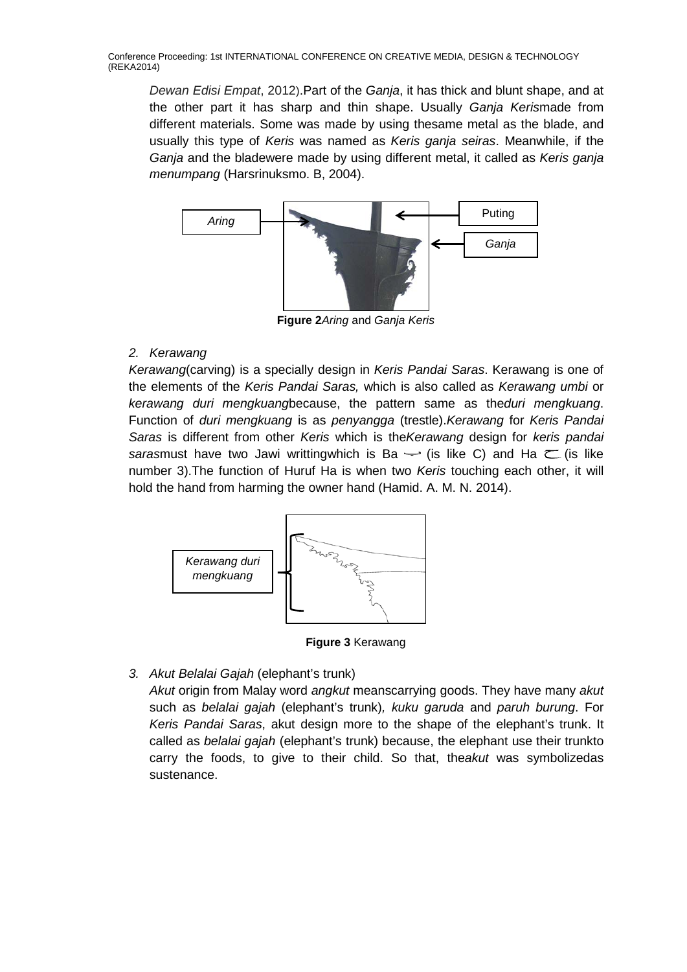*Dewan Edisi Empat*, 2012).Part of the *Ganja*, it has thick and blunt shape, and at the other part it has sharp and thin shape. Usually *Ganja Keris*made from different materials. Some was made by using thesame metal as the blade, and usually this type of *Keris* was named as *Keris ganja seiras*. Meanwhile, if the *Ganja* and the bladewere made by using different metal, it called as *Keris ganja menumpang* (Harsrinuksmo. B, 2004).



**Figure 2***Aring* and *Ganja Keris*

# *2. Kerawang*

*Kerawang*(carving) is a specially design in *Keris Pandai Saras*. Kerawang is one of the elements of the *Keris Pandai Saras,* which is also called as *Kerawang umbi* or *kerawang duri mengkuang*because, the pattern same as the*duri mengkuang*. Function of *duri mengkuang* is as *penyangga* (trestle).*Kerawang* for *Keris Pandai Saras* is different from other *Keris* which is the*Kerawang* design for *keris pandai sarasmust* have two Jawi writtingwhich is Ba  $\rightarrow$  (is like C) and Ha  $\leftarrow$  (is like number 3).The function of Huruf Ha is when two *Keris* touching each other, it will hold the hand from harming the owner hand (Hamid. A. M. N. 2014).



**Figure 3** Kerawang

*3. Akut Belalai Gajah* (elephant's trunk)

*Akut* origin from Malay word *angkut* meanscarrying goods. They have many *akut* such as *belalai gajah* (elephant's trunk)*, kuku garuda* and *paruh burung*. For *Keris Pandai Saras*, akut design more to the shape of the elephant's trunk. It called as *belalai gajah* (elephant's trunk) because, the elephant use their trunkto carry the foods, to give to their child. So that, the*akut* was symbolizedas sustenance.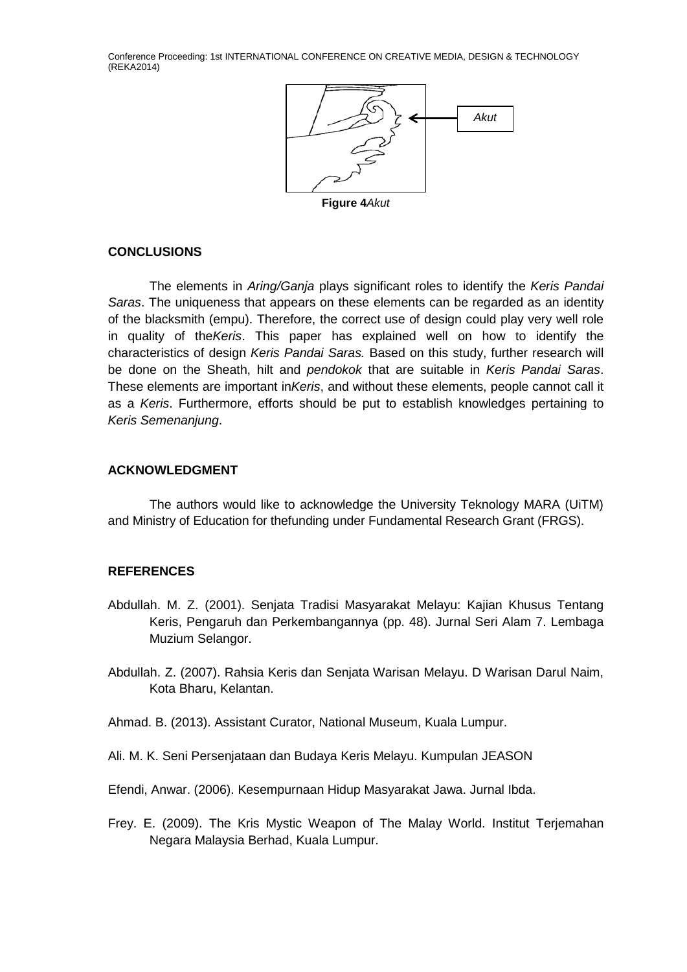

**Figure 4***Akut*

#### **CONCLUSIONS**

The elements in *Aring/Ganja* plays significant roles to identify the *Keris Pandai Saras*. The uniqueness that appears on these elements can be regarded as an identity of the blacksmith (empu). Therefore, the correct use of design could play very well role in quality of the*Keris*. This paper has explained well on how to identify the characteristics of design *Keris Pandai Saras.* Based on this study, further research will be done on the Sheath, hilt and *pendokok* that are suitable in *Keris Pandai Saras*. These elements are important in*Keris*, and without these elements, people cannot call it as a *Keris*. Furthermore, efforts should be put to establish knowledges pertaining to *Keris Semenanjung*.

### **ACKNOWLEDGMENT**

The authors would like to acknowledge the University Teknology MARA (UiTM) and Ministry of Education for thefunding under Fundamental Research Grant (FRGS).

## **REFERENCES**

- Abdullah. M. Z. (2001). Senjata Tradisi Masyarakat Melayu: Kajian Khusus Tentang Keris, Pengaruh dan Perkembangannya (pp. 48). Jurnal Seri Alam 7. Lembaga Muzium Selangor.
- Abdullah. Z. (2007). Rahsia Keris dan Senjata Warisan Melayu. D Warisan Darul Naim, Kota Bharu, Kelantan.
- Ahmad. B. (2013). Assistant Curator, National Museum, Kuala Lumpur.
- Ali. M. K. Seni Persenjataan dan Budaya Keris Melayu. Kumpulan JEASON

Efendi, Anwar. (2006). Kesempurnaan Hidup Masyarakat Jawa. Jurnal Ibda.

Frey. E. (2009). The Kris Mystic Weapon of The Malay World. Institut Terjemahan Negara Malaysia Berhad, Kuala Lumpur.